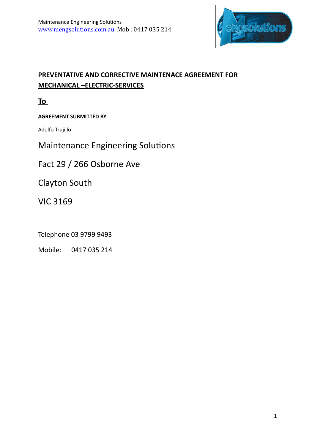

# **PREVENTATIVE AND CORRECTIVE MAINTENACE AGREEMENT FOR MECHANICAL –ELECTRIC-SERVICES**

**To** 

# **AGREEMENT SUBMITTED BY**

Adolfo Trujillo 

Maintenance Engineering Solutions

Fact 29 / 266 Osborne Ave

Clayton South

**VIC 3169** 

Telephone 03 9799 9493

Mobile: 0417 035 214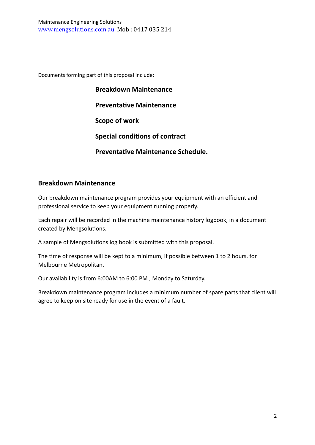Documents forming part of this proposal include:

| <b>Breakdown Maintenance</b>              |
|-------------------------------------------|
| <b>Preventative Maintenance</b>           |
| Scope of work                             |
| <b>Special conditions of contract</b>     |
| <b>Preventative Maintenance Schedule.</b> |

### **Breakdown Maintenance**

Our breakdown maintenance program provides your equipment with an efficient and professional service to keep your equipment running properly.

Each repair will be recorded in the machine maintenance history logbook, in a document created by Mengsolutions.

A sample of Mengsolutions log book is submitted with this proposal.

The time of response will be kept to a minimum, if possible between 1 to 2 hours, for Melbourne Metropolitan.

Our availability is from 6:00AM to 6:00 PM, Monday to Saturday.

Breakdown maintenance program includes a minimum number of spare parts that client will agree to keep on site ready for use in the event of a fault.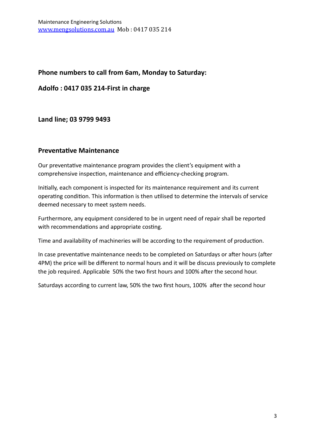## Phone numbers to call from 6am, Monday to Saturday:

**Adolfo : 0417 035 214-First in charge**

### **Land line; 03 9799 9493**

### **Preventative Maintenance**

Our preventative maintenance program provides the client's equipment with a comprehensive inspection, maintenance and efficiency-checking program.

Initially, each component is inspected for its maintenance requirement and its current operating condition. This information is then utilised to determine the intervals of service deemed necessary to meet system needs.

Furthermore, any equipment considered to be in urgent need of repair shall be reported with recommendations and appropriate costing.

Time and availability of machineries will be according to the requirement of production.

In case preventative maintenance needs to be completed on Saturdays or after hours (after 4PM) the price will be different to normal hours and it will be discuss previously to complete the job required. Applicable 50% the two first hours and 100% after the second hour.

Saturdays according to current law, 50% the two first hours, 100% after the second hour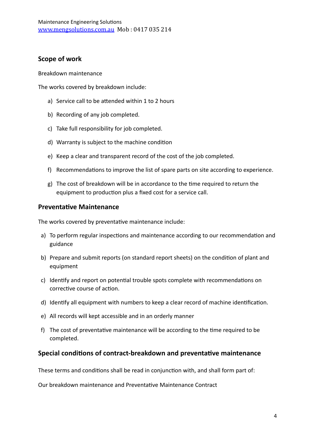## **Scope of work**

Breakdown maintenance

The works covered by breakdown include:

- a) Service call to be attended within 1 to 2 hours
- b) Recording of any job completed.
- c) Take full responsibility for job completed.
- d) Warranty is subject to the machine condition
- e) Keep a clear and transparent record of the cost of the job completed.
- f) Recommendations to improve the list of spare parts on site according to experience.
- g) The cost of breakdown will be in accordance to the time required to return the equipment to production plus a fixed cost for a service call.

### **Preventative Maintenance**

The works covered by preventative maintenance include:

- a) To perform regular inspections and maintenance according to our recommendation and guidance
- b) Prepare and submit reports (on standard report sheets) on the condition of plant and equipment
- c) Identify and report on potential trouble spots complete with recommendations on corrective course of action.
- d) Identify all equipment with numbers to keep a clear record of machine identification.
- e) All records will kept accessible and in an orderly manner
- f) The cost of preventative maintenance will be according to the time required to be completed.

#### **Special conditions of contract-breakdown and preventative maintenance**

These terms and conditions shall be read in conjunction with, and shall form part of:

Our breakdown maintenance and Preventative Maintenance Contract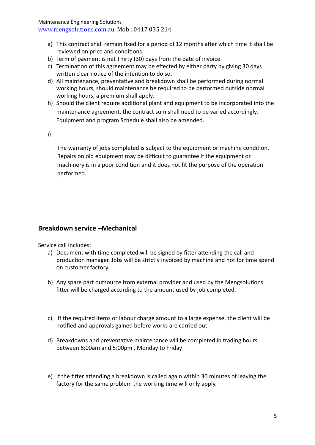Maintenance Engineering Solutions [www.mengsolutions.com.au](http://www.mengsolutions.com.au) Mob: 0417 035 214

- a) This contract shall remain fixed for a period of.12 months after which time it shall be reviewed on price and conditions.
- b) Term of payment is net Thirty (30) days from the date of invoice.
- c) Termination of this agreement may be effected by either party by giving 30 days written clear notice of the intention to do so.
- d) All maintenance, preventative and breakdown shall be performed during normal working hours, should maintenance be required to be performed outside normal working hours, a premium shall apply.
- h) Should the client require additional plant and equipment to be incorporated into the maintenance agreement, the contract sum shall need to be varied accordingly. Equipment and program Schedule shall also be amended.

i)

The warranty of jobs completed is subject to the equipment or machine condition. Repairs on old equipment may be difficult to guarantee if the equipment or machinery is in a poor condition and it does not fit the purpose of the operation performed.

### **Breakdown service -Mechanical**

Service call includes:

- a) Document with time completed will be signed by fitter attending the call and production manager. Jobs will be strictly invoiced by machine and not for time spend on customer factory.
- b) Any spare part outsource from external provider and used by the Mengsolutions fitter will be charged according to the amount used by job completed.
- c) If the required items or labour charge amount to a large expense, the client will be notified and approvals gained before works are carried out.
- d) Breakdowns and preventative maintenance will be completed in trading hours between 6:00am and 5:00pm, Monday to Friday
- e) If the fitter attending a breakdown is called again within 30 minutes of leaving the factory for the same problem the working time will only apply.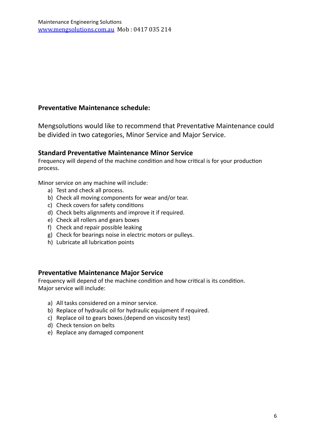## **Preventative Maintenance schedule:**

Mengsolutions would like to recommend that Preventative Maintenance could be divided in two categories, Minor Service and Major Service.

### **Standard Preventative Maintenance Minor Service**

Frequency will depend of the machine condition and how critical is for your production process.

Minor service on any machine will include:

- a) Test and check all process.
- b) Check all moving components for wear and/or tear.
- c) Check covers for safety conditions
- d) Check belts alignments and improve it if required.
- e) Check all rollers and gears boxes
- f) Check and repair possible leaking
- g) Check for bearings noise in electric motors or pulleys.
- h) Lubricate all lubrication points

#### **Preventative Maintenance Major Service**

Frequency will depend of the machine condition and how critical is its condition. Major service will include:

- a) All tasks considered on a minor service.
- b) Replace of hydraulic oil for hydraulic equipment if required.
- c) Replace oil to gears boxes.(depend on viscosity test)
- d) Check tension on belts
- e) Replace any damaged component